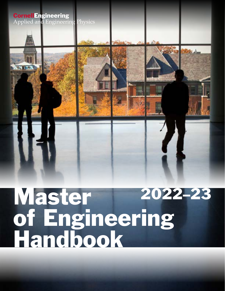

# Master of Engineering Handbook 2022–23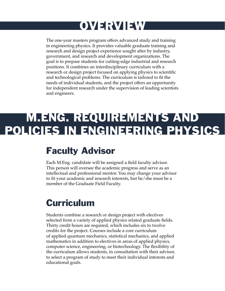## OVERVIEW

The one-year masters program offers advanced study and training in engineering physics. It provides valuable graduate training and research and design project experience sought after by industry, government, and research and development organizations. The goal is to prepare students for cutting-edge industrial and research positions. It combines an interdisciplinary curriculum with a research or design project focused on applying physics to scientific and technological problems. The curriculum is tailored to fit the needs of individual students, and the project offers an opportunity for independent research under the supervision of leading scientists and engineers.

## M.ENG. REQUIREMENTS AND POLICIES IN ENGINEERING PHYSICS

### Faculty Advisor

Each M.Eng. candidate will be assigned a field faculty advisor. This person will oversee the academic progress and serve as an intellectual and professional mentor. You may change your advisor to fit your academic and research interests, but he/she must be a member of the Graduate Field Faculty.

### Curriculum

Students combine a research or design project with electives selected from a variety of applied physics related graduate fields. Thirty credit hours are required, which includes six to twelve credits for the project. Courses include a core curriculum of applied quantum mechanics, statistical mechanics, and applied mathematics in addition to electives in areas of applied physics, computer science, engineering, or biotechnology. The flexibility of the curriculum allows students, in consultation with their advisor, to select a program of study to meet their individual interests and educational goals.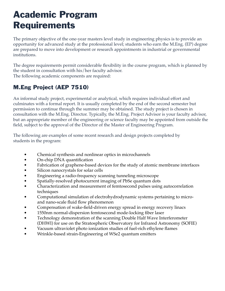### Academic Program **Requirements**

The primary objective of the one-year masters level study in engineering physics is to provide an opportunity for advanced study at the professional level; students who earn the M.Eng. (EP) degree are prepared to move into development or research appointments in industrial or governmental institutions.

The degree requirements permit considerable flexibility in the course program, which is planned by the student in consultation with his/her faculty advisor. The following academic components are required:

#### M.Eng Project (AEP 7510)

An informal study project, experimental or analytical, which requires individual effort and culminates with a formal report. It is usually completed by the end of the second semester but permission to continue through the summer may be obtained. The study project is chosen in consultation with the M.Eng. Director. Typically, the M.Eng. Project Advisor is your faculty advisor, but an appropriate member of the engineering or science faculty may be appointed from outside the field, subject to the approval of the Director of the Master of Engineering Program.

The following are examples of some recent research and design projects completed by students in the program:

- Chemical synthesis and nonlinear optics in microchannels
- On-chip DNA quantification
- Fabrication of graphene-based devices for the study of atomic membrane interfaces
- Silicon nanocrystals for solar cells
- Engineering a radio-frequency scanning tunneling microscope
- Spatially-resolved photocurrent imaging of PbSe quantum dots
- Characterization and measurement of femtosecond pulses using autocorrelation techniques
- Computational simulation of electrohydrodynamic systems pertaining to microand nano-scale fluid flow phenomenon
- Compensation of wake-field-driven energy spread in energy recovery linacs
- 1550nm normal-dispersion femtosecond mode-locking fiber laser
- Technology demonstration of the scanning Double Half Wave Interferometer (DHWI) for use on the Stratospheric Observatory for Infrared Astronomy (SOFIE)
- Vacuum ultraviolet photo ionization studies of fuel-rich ethylene flames
- Wrinkle-based strain-Engineering of WSe2 quantum emitters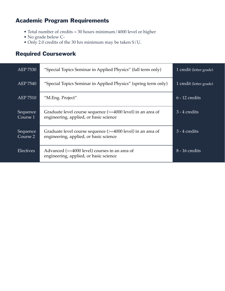#### Academic Program Requirements

- Total number of credits = 30 hours minimum/4000 level or higher
- No grade below C-
- Only 2.0 credits of the 30 hrs minimum may be taken S/U.

#### Required Coursework

| AEP 7530             | "Special Topics Seminar in Applied Physics" (fall term only)                                          | 1 credit (letter grade) |
|----------------------|-------------------------------------------------------------------------------------------------------|-------------------------|
| <b>AEP 7540</b>      | "Special Topics Seminar in Applied Physics" (spring term only)                                        | 1 credit (letter grade) |
| AEP 7510             | "M.Eng. Project"                                                                                      | $6 - 12$ credits        |
| Sequence<br>Course 1 | Graduate level course sequence (>=4000 level) in an area of<br>engineering, applied, or basic science | $3 - 4$ credits         |
| Sequence<br>Course 2 | Graduate level course sequence (>=4000 level) in an area of<br>engineering, applied, or basic science | $3 - 4$ credits         |
| Electives            | Advanced (>=4000 level) courses in an area of<br>engineering, applied, or basic science               | $8 - 16$ credits        |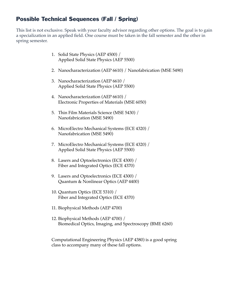#### Possible Technical Sequences (Fall / Spring)

This list is not exclusive. Speak with your faculty advisor regarding other options. The goal is to gain a specialization in an applied field. One course must be taken in the fall semester and the other in spring semester.

- 1. Solid State Physics (AEP 4500) / Applied Solid State Physics (AEP 5500)
- 2. Nanocharacterization (AEP 6610) / Nanofabrication (MSE 5490)
- 3. Nanocharacterization (AEP 6610 / Applied Solid State Physics (AEP 5500)
- 4. Nanocharacterization (AEP 6610) / Electronic Properties of Materials (MSE 6050)
- 5. Thin Film Materials Science (MSE 5430) / Nanofabrication (MSE 5490)
- 6. MicroElectro Mechanical Systems (ECE 4320) / Nanofabrication (MSE 5490)
- 7. MicroElectro Mechanical Systems (ECE 4320) / Applied Solid State Physics (AEP 5500)
- 8. Lasers and Optoelectronics (ECE 4300) / Fiber and Integrated Optics (ECE 4370)
- 9. Lasers and Optoelectronics (ECE 4300) / Quantum & Nonlinear Optics (AEP 4400)
- 10. Quantum Optics (ECE 5310) / Fiber and Integrated Optics (ECE 4370)
- 11. Biophysical Methods (AEP 4700)
- 12. Biophysical Methods (AEP 4700) / Biomedical Optics, Imaging, and Spectroscopy (BME 6260)

Computational Engineering Physics (AEP 4380) is a good spring class to accompany many of these fall options.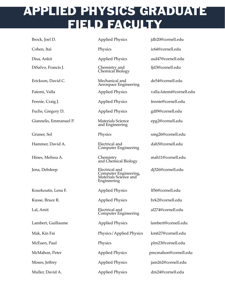### APPLIED PHYSICS GRADUATE FIELD FACULTY

| Brock, Joel D.         | <b>Applied Physics</b>                                                          | jdb20@cornell.edu        |
|------------------------|---------------------------------------------------------------------------------|--------------------------|
| Cohen, Itai            | Physics                                                                         | ic64@cornell.edu         |
| Disa, Ankit            | <b>Applied Physics</b>                                                          | asd47@cornell.edu        |
| DiSalvo, Francis J.    | Chemistry and<br>Chemical Biology                                               | fjd3@cornell.edu         |
| Erickson, David C.     | Mechanical and<br>Aerospace Engineering                                         | de54@cornell.edu         |
| Fatemi, Valla          | <b>Applied Physics</b>                                                          | valla.fatemi@cornell.edu |
| Fennie, Craig J.       | <b>Applied Physics</b>                                                          | fennie@cornell.edu       |
| Fuchs, Gregory D.      | <b>Applied Physics</b>                                                          | gdf9@cornell.edu         |
| Giannelis, Emmanuel P. | <b>Materials Science</b><br>and Engineering                                     | epg2@cornell.edu         |
| Gruner, Sol            | Physics                                                                         | smg26@cornell.edu        |
| Hammer, David A.       | Electrical and<br><b>Computer Engineering</b>                                   | dah5@cornell.edu         |
| Hines, Melissa A.      | Chemistry<br>and Chemical Biology                                               | mah11@cornell.edu        |
| Jena, Debdeep          | Electrical and<br>Computer Engineering,<br>Materials Science and<br>Engineering | dj326@cornell.edu        |
| Kourkoutis, Lena F.    | <b>Applied Physics</b>                                                          | lf56@cornell.edu         |
| Kusse, Bruce R.        | <b>Applied Physics</b>                                                          | brk2@cornell.edu         |
| Lal, Amit              | Electrical and<br><b>Computer Engineering</b>                                   | al274@cornell.edu        |
| Lambert, Guillaume     | <b>Applied Physics</b>                                                          | lambert@cornell.edu      |
| Mak, Kin Fai           | Physics/Applied Physics                                                         | km627@cornell.edu        |
| McEuen, Paul           | Physics                                                                         | plm23@cornell.edu        |
| McMahon, Peter         | <b>Applied Physics</b>                                                          | pmcmahon@cornell.edu     |
| Moses, Jeffrey         | <b>Applied Physics</b>                                                          | jam262@cornell.edu       |
| Muller, David A.       | <b>Applied Physics</b>                                                          | dm24@cornell.edu         |